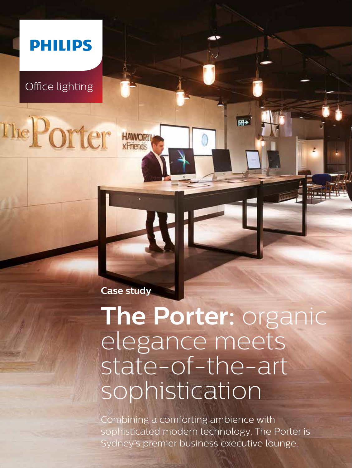

Office lighting

The Porter

**Case study**

# **The Porter:** organic elegance meets state-of-the-art sophistication

 $H^*$ 

Combining a comforting ambience with sophisticated modern technology, The Porter is Sydney's premier business executive lounge.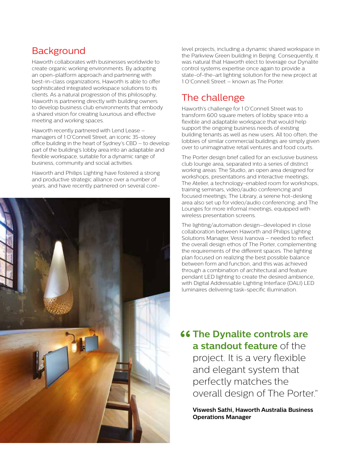# Background

Haworth collaborates with businesses worldwide to create organic working environments. By adopting an open-platform approach and partnering with best-in-class organizations, Haworth is able to offer sophisticated integrated workspace solutions to its clients. As a natural progression of this philosophy, Haworth is partnering directly with building owners to develop business club environments that embody a shared vision for creating luxurious and effective meeting and working spaces.

Haworth recently partnered with Lend Lease – managers of 1 O'Connell Street, an iconic 35-storey office building in the heart of Sydney's CBD – to develop part of the building's lobby area into an adaptable and flexible workspace, suitable for a dynamic range of business, community and social activities.

Haworth and Philips Lighting have fostered a strong and productive strategic alliance over a number of years, and have recently partnered on several core-



level projects, including a dynamic shared workspace in the Parkview Green building in Beijing. Consequently, it was natural that Haworth elect to leverage our Dynalite control systems expertise once again to provide a state-of-the-art lighting solution for the new project at 1 O'Connell Street – known as The Porter.

# The challenge

Haworth's challenge for 1 O'Connell Street was to transform 600 square meters of lobby space into a flexible and adaptable workspace that would help support the ongoing business needs of existing building tenants as well as new users. All too often, the lobbies of similar commercial buildings are simply given over to unimaginative retail ventures and food courts.

The Porter design brief called for an exclusive business club lounge area, separated into a series of distinct working areas: The Studio, an open area designed for workshops, presentations and interactive meetings; The Atelier, a technology-enabled room for workshops, training seminars, video/audio conferencing and focused meetings; The Library, a serene hot-desking area also set up for video/audio conferencing; and The Lounges for more informal meetings, equipped with wireless presentation screens.

The lighting/automation design–developed in close collaboration between Haworth and Philips Lighting Solutions Manager, Vessi Ivanova – needed to reflect the overall design ethos of The Porter, complementing the requirements of the different spaces. The lighting plan focused on realizing the best possible balance between form and function, and this was achieved through a combination of architectural and feature pendant LED lighting to create the desired ambience, with Digital Addressable Lighting Interface (DALI) LED luminaires delivering task-specific illumination.

**"The Dynalite controls are a standout feature** of the

project. It is a very flexible and elegant system that perfectly matches the overall design of The Porter."

**Viswesh Sathi, Haworth Australia Business Operations Manager**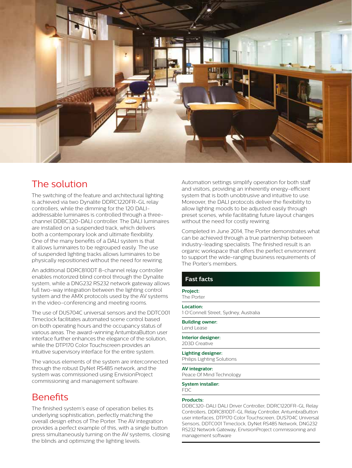

## The solution

The switching of the feature and architectural lighting is achieved via two Dynalite DDRC1220FR-GL relay controllers, while the dimming for the 120 DALIaddressable luminaires is controlled through a threechannel DDBC320-DALI controller. The DALI luminaires are installed on a suspended track, which delivers both a contemporary look and ultimate flexibility. One of the many benefits of a DALI system is that it allows luminaires to be regrouped easily. The use of suspended lighting tracks allows luminaires to be physically repositioned without the need for rewiring.

An additional DDRC810DT 8-channel relay controller enables motorized blind control through the Dynalite system, while a DNG232 RS232 network gateway allows full two-way integration between the lighting control system and the AMX protocols used by the AV systems in the video-conferencing and meeting rooms.

The use of DUS704C universal sensors and the DDTC001 Timeclock facilitates automated scene control based on both operating hours and the occupancy status of various areas. The award-winning AntumbraButton user interface further enhances the elegance of the solution, while the DTP170 Color Touchscreen provides an intuitive supervisory interface for the entire system.

The various elements of the system are interconnected through the robust DyNet RS485 network, and the system was commissioned using EnvisionProject commissioning and management software.

## **Benefits**

The finished system's ease of operation belies its underlying sophistication, perfectly matching the overall design ethos of The Porter. The AV integration provides a perfect example of this, with a single button press simultaneously turning on the AV systems, closing the blinds and optimizing the lighting levels.

Automation settings simplify operation for both staff and visitors, providing an inherently energy-efficient system that is both unobtrusive and intuitive to use. Moreover, the DALI protocols deliver the flexibility to allow lighting moods to be adjusted easily through preset scenes, while facilitating future layout changes without the need for costly rewiring.

Completed in June 2014, The Porter demonstrates what can be achieved through a true partnership between industry-leading specialists. The finished result is an organic workspace that offers the perfect environment to support the wide-ranging business requirements of The Porter's members.

### **Fast facts**

**Project:**

The Porter

#### **Location:**

1 O'Connell Street, Sydney, Australia

**Building owner:** Lend Lease

#### **Interior designer:**

2D3D Creative

**Lighting designer:** Philips Lighting Solutions

## **AV integrator:**

Peace Of Mind Technology

#### **System installer:**

## FDC

**Products:** DDBC320-DALI DALI Driver Controller, DDRC1220FR-GL Relay Controllers, DDRC810DT-GL Relay Controller, AntumbraButton user interfaces, DTP170 Color Touchscreen, DUS704C Universal Sensors, DDTC001 Timeclock, DyNet RS485 Network, DNG232 RS232 Network Gateway, EnvisionProject commissioning and management software